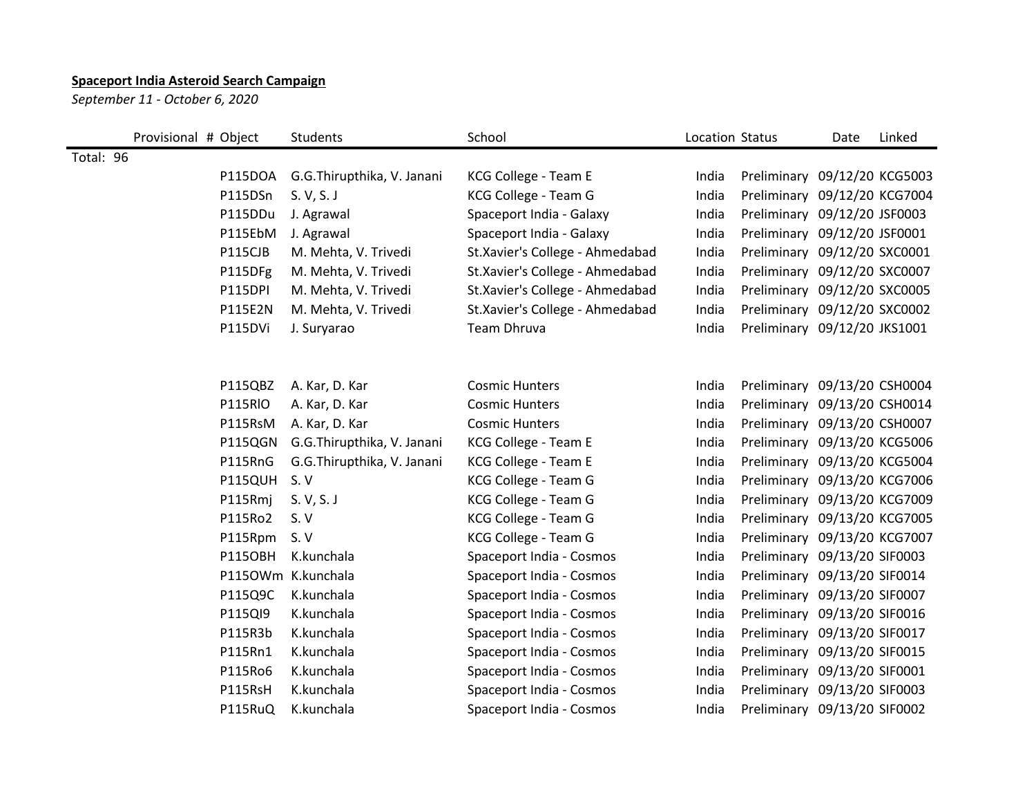## **Spaceport India Asteroid Search Campaign**

*September 11 - October 6, 2020*

|           | Provisional # Object |                | Students                   | School                          | Location Status |                              | Date             | Linked |
|-----------|----------------------|----------------|----------------------------|---------------------------------|-----------------|------------------------------|------------------|--------|
| Total: 96 |                      |                |                            |                                 |                 |                              |                  |        |
|           |                      | P115DOA        | G.G.Thirupthika, V. Janani | KCG College - Team E            | India           | Preliminary                  | 09/12/20 KCG5003 |        |
|           |                      | P115DSn        | S. V, S. J                 | KCG College - Team G            | India           | Preliminary                  | 09/12/20 KCG7004 |        |
|           |                      | P115DDu        | J. Agrawal                 | Spaceport India - Galaxy        | India           | Preliminary 09/12/20 JSF0003 |                  |        |
|           |                      | P115EbM        | J. Agrawal                 | Spaceport India - Galaxy        | India           | Preliminary 09/12/20 JSF0001 |                  |        |
|           |                      | P115CJB        | M. Mehta, V. Trivedi       | St.Xavier's College - Ahmedabad | India           | Preliminary 09/12/20 SXC0001 |                  |        |
|           |                      | P115DFg        | M. Mehta, V. Trivedi       | St.Xavier's College - Ahmedabad | India           | Preliminary 09/12/20 SXC0007 |                  |        |
|           |                      | P115DPI        | M. Mehta, V. Trivedi       | St.Xavier's College - Ahmedabad | India           | Preliminary 09/12/20 SXC0005 |                  |        |
|           |                      | P115E2N        | M. Mehta, V. Trivedi       | St.Xavier's College - Ahmedabad | India           | Preliminary 09/12/20 SXC0002 |                  |        |
|           |                      | P115DVi        | J. Suryarao                | Team Dhruva                     | India           | Preliminary 09/12/20 JKS1001 |                  |        |
|           |                      |                |                            |                                 |                 |                              |                  |        |
|           |                      |                |                            |                                 |                 |                              |                  |        |
|           |                      | P115QBZ        | A. Kar, D. Kar             | <b>Cosmic Hunters</b>           | India           | Preliminary 09/13/20 CSH0004 |                  |        |
|           |                      | P115RIO        | A. Kar, D. Kar             | <b>Cosmic Hunters</b>           | India           | Preliminary 09/13/20 CSH0014 |                  |        |
|           |                      | P115RsM        | A. Kar, D. Kar             | <b>Cosmic Hunters</b>           | India           | Preliminary 09/13/20 CSH0007 |                  |        |
|           |                      | P115QGN        | G.G.Thirupthika, V. Janani | KCG College - Team E            | India           | Preliminary 09/13/20 KCG5006 |                  |        |
|           |                      | P115RnG        | G.G.Thirupthika, V. Janani | KCG College - Team E            | India           | Preliminary 09/13/20 KCG5004 |                  |        |
|           |                      | P115QUH        | S. V                       | KCG College - Team G            | India           | Preliminary 09/13/20 KCG7006 |                  |        |
|           |                      | P115Rmj        | S. V, S. J                 | KCG College - Team G            | India           | Preliminary 09/13/20 KCG7009 |                  |        |
|           |                      | P115Ro2        | S. V                       | KCG College - Team G            | India           | Preliminary 09/13/20 KCG7005 |                  |        |
|           |                      | P115Rpm        | S. V                       | KCG College - Team G            | India           | Preliminary 09/13/20 KCG7007 |                  |        |
|           |                      | <b>P115OBH</b> | K.kunchala                 | Spaceport India - Cosmos        | India           | Preliminary 09/13/20 SIF0003 |                  |        |
|           |                      |                | P1150Wm K.kunchala         | Spaceport India - Cosmos        | India           | Preliminary 09/13/20 SIF0014 |                  |        |
|           |                      | P115Q9C        | K.kunchala                 | Spaceport India - Cosmos        | India           | Preliminary                  | 09/13/20 SIF0007 |        |
|           |                      | P115QI9        | K.kunchala                 | Spaceport India - Cosmos        | India           | Preliminary 09/13/20 SIF0016 |                  |        |
|           |                      | P115R3b        | K.kunchala                 | Spaceport India - Cosmos        | India           | Preliminary                  | 09/13/20 SIF0017 |        |
|           |                      | P115Rn1        | K.kunchala                 | Spaceport India - Cosmos        | India           | Preliminary 09/13/20 SIF0015 |                  |        |
|           |                      | P115Ro6        | K.kunchala                 | Spaceport India - Cosmos        | India           | Preliminary 09/13/20 SIF0001 |                  |        |
|           |                      | P115RsH        | K.kunchala                 | Spaceport India - Cosmos        | India           | Preliminary 09/13/20 SIF0003 |                  |        |
|           |                      | P115RuQ        | K.kunchala                 | Spaceport India - Cosmos        | India           | Preliminary 09/13/20 SIF0002 |                  |        |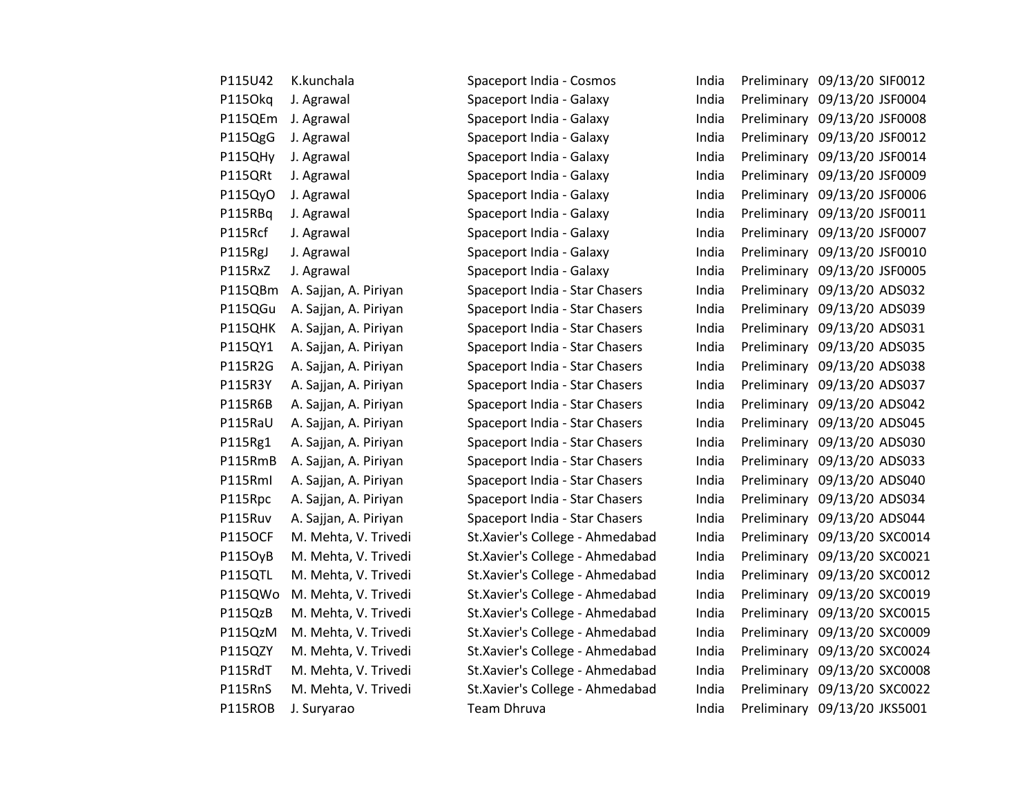| P115U42        | K.kunchala            |
|----------------|-----------------------|
| P1150kq        | J. Agrawal            |
| P115QEm        | J. Agrawal            |
| P115QgG        | J. Agrawal            |
| P115QHy        | J. Agrawal            |
| P115QRt        | J. Agrawal            |
| P115QyO        | J. Agrawal            |
| P115RBq        | J. Agrawal            |
| P115Rcf        | J. Agrawal            |
| P115RgJ        | J. Agrawal            |
| P115RxZ        | J. Agrawal            |
| P115QBm        | A. Sajjan, A. Piriyan |
| P115QGu        | A. Sajjan, A. Piriyan |
| P115QHK        | A. Sajjan, A. Piriyan |
| P115QY1        | A. Sajjan, A. Piriyan |
| P115R2G        | A. Sajjan, A. Piriyan |
| P115R3Y        | A. Sajjan, A. Piriyan |
| P115R6B        | A. Sajjan, A. Piriyan |
| P115RaU        | A. Sajjan, A. Piriyan |
| P115Rg1        | A. Sajjan, A. Piriyan |
| P115RmB        | A. Sajjan, A. Piriyan |
| P115Rml        | A. Sajjan, A. Piriyan |
| P115Rpc        | A. Sajjan, A. Piriyan |
| P115Ruv        | A. Sajjan, A. Piriyan |
| <b>P115OCF</b> | M. Mehta, V. Trivedi  |
| P115OyB        | M. Mehta, V. Trivedi  |
| P115QTL        | M. Mehta, V. Trivedi  |
| P115QWo        | M. Mehta, V. Trivedi  |
| P115QzB        | M. Mehta, V. Trivedi  |
| P115QzM        | M. Mehta, V. Trivedi  |
| P115QZY        | M. Mehta, V. Trivedi  |
| P115RdT        | M. Mehta, V. Trivedi  |
| P115RnS        | M. Mehta, V. Trivedi  |
| P115ROB        | J. Suryarao           |

| P115U42        | K.kunchala            | Spaceport India - Cosmos        | India | Preliminary 09/13/20 SIF0012 |  |
|----------------|-----------------------|---------------------------------|-------|------------------------------|--|
| P115Okq        | J. Agrawal            | Spaceport India - Galaxy        | India | Preliminary 09/13/20 JSF0004 |  |
| P115QEm        | J. Agrawal            | Spaceport India - Galaxy        | India | Preliminary 09/13/20 JSF0008 |  |
| P115QgG        | J. Agrawal            | Spaceport India - Galaxy        | India | Preliminary 09/13/20 JSF0012 |  |
| <b>P115QHy</b> | J. Agrawal            | Spaceport India - Galaxy        | India | Preliminary 09/13/20 JSF0014 |  |
| P115QRt        | J. Agrawal            | Spaceport India - Galaxy        | India | Preliminary 09/13/20 JSF0009 |  |
| P115QyO        | J. Agrawal            | Spaceport India - Galaxy        | India | Preliminary 09/13/20 JSF0006 |  |
| P115RBq        | J. Agrawal            | Spaceport India - Galaxy        | India | Preliminary 09/13/20 JSF0011 |  |
| P115Rcf        | J. Agrawal            | Spaceport India - Galaxy        | India | Preliminary 09/13/20 JSF0007 |  |
| P115RgJ        | J. Agrawal            | Spaceport India - Galaxy        | India | Preliminary 09/13/20 JSF0010 |  |
| P115RxZ        | J. Agrawal            | Spaceport India - Galaxy        | India | Preliminary 09/13/20 JSF0005 |  |
| P115QBm        | A. Sajjan, A. Piriyan | Spaceport India - Star Chasers  | India | Preliminary 09/13/20 ADS032  |  |
| P115QGu        | A. Sajjan, A. Piriyan | Spaceport India - Star Chasers  | India | Preliminary 09/13/20 ADS039  |  |
| P115QHK        | A. Sajjan, A. Piriyan | Spaceport India - Star Chasers  | India | Preliminary 09/13/20 ADS031  |  |
| P115QY1        | A. Sajjan, A. Piriyan | Spaceport India - Star Chasers  | India | Preliminary 09/13/20 ADS035  |  |
| P115R2G        | A. Sajjan, A. Piriyan | Spaceport India - Star Chasers  | India | Preliminary 09/13/20 ADS038  |  |
| P115R3Y        | A. Sajjan, A. Piriyan | Spaceport India - Star Chasers  | India | Preliminary 09/13/20 ADS037  |  |
| P115R6B        | A. Sajjan, A. Piriyan | Spaceport India - Star Chasers  | India | Preliminary 09/13/20 ADS042  |  |
| P115RaU        | A. Sajjan, A. Piriyan | Spaceport India - Star Chasers  | India | Preliminary 09/13/20 ADS045  |  |
| P115Rg1        | A. Sajjan, A. Piriyan | Spaceport India - Star Chasers  | India | Preliminary 09/13/20 ADS030  |  |
| P115RmB        | A. Sajjan, A. Piriyan | Spaceport India - Star Chasers  | India | Preliminary 09/13/20 ADS033  |  |
| P115Rml        | A. Sajjan, A. Piriyan | Spaceport India - Star Chasers  | India | Preliminary 09/13/20 ADS040  |  |
| P115Rpc        | A. Sajjan, A. Piriyan | Spaceport India - Star Chasers  | India | Preliminary 09/13/20 ADS034  |  |
| P115Ruv        | A. Sajjan, A. Piriyan | Spaceport India - Star Chasers  | India | Preliminary 09/13/20 ADS044  |  |
| <b>P115OCF</b> | M. Mehta, V. Trivedi  | St.Xavier's College - Ahmedabad | India | Preliminary 09/13/20 SXC0014 |  |
| P115OyB        | M. Mehta, V. Trivedi  | St.Xavier's College - Ahmedabad | India | Preliminary 09/13/20 SXC0021 |  |
| P115QTL        | M. Mehta, V. Trivedi  | St.Xavier's College - Ahmedabad | India | Preliminary 09/13/20 SXC0012 |  |
| P115QWo        | M. Mehta, V. Trivedi  | St.Xavier's College - Ahmedabad | India | Preliminary 09/13/20 SXC0019 |  |
| P115QzB        | M. Mehta, V. Trivedi  | St.Xavier's College - Ahmedabad | India | Preliminary 09/13/20 SXC0015 |  |
| P115QzM        | M. Mehta, V. Trivedi  | St.Xavier's College - Ahmedabad | India | Preliminary 09/13/20 SXC0009 |  |
| P115QZY        | M. Mehta, V. Trivedi  | St.Xavier's College - Ahmedabad | India | Preliminary 09/13/20 SXC0024 |  |
| P115RdT        | M. Mehta, V. Trivedi  | St.Xavier's College - Ahmedabad | India | Preliminary 09/13/20 SXC0008 |  |
| P115RnS        | M. Mehta, V. Trivedi  | St.Xavier's College - Ahmedabad | India | Preliminary 09/13/20 SXC0022 |  |
| <b>P115ROB</b> | J. Suryarao           | Team Dhruva                     | India | Preliminary 09/13/20 JKS5001 |  |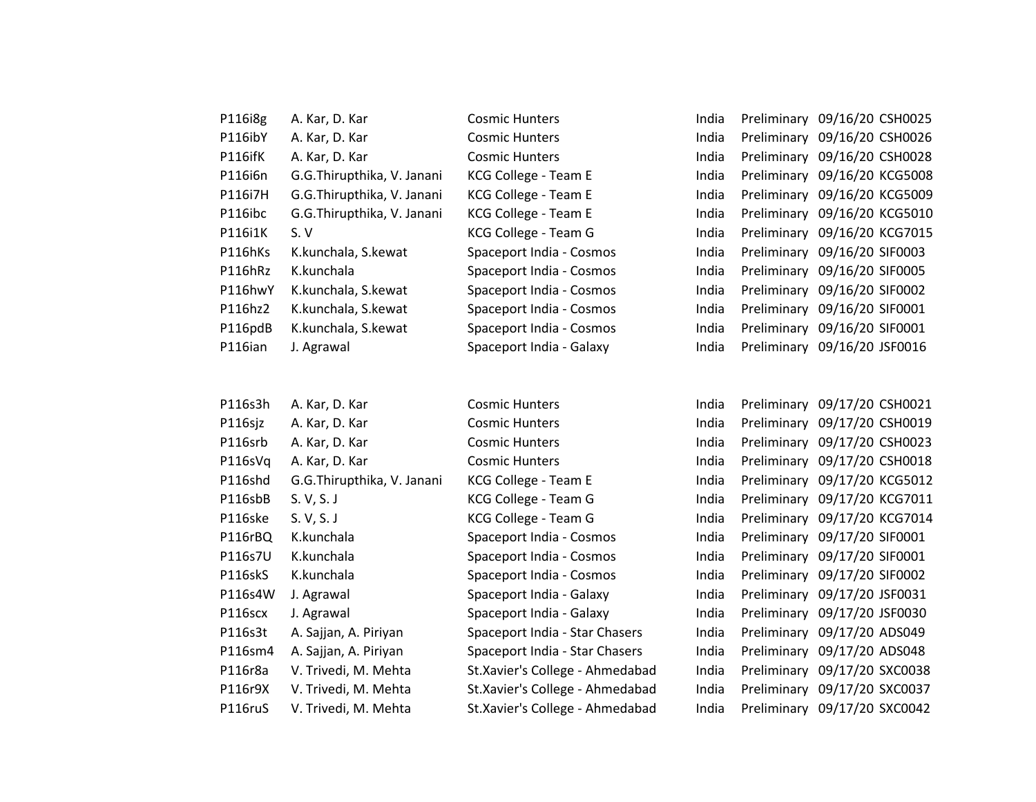| P116i8g | A. Kar, D. Kar             | <b>Cosmic Hunters</b>    | India | Preliminary 09/16/20 CSH0025 |  |
|---------|----------------------------|--------------------------|-------|------------------------------|--|
| P116ibY | A. Kar, D. Kar             | <b>Cosmic Hunters</b>    | India | Preliminary 09/16/20 CSH0026 |  |
| P116ifK | A. Kar, D. Kar             | <b>Cosmic Hunters</b>    | India | Preliminary 09/16/20 CSH0028 |  |
| P116i6n | G.G.Thirupthika, V. Janani | KCG College - Team E     | India | Preliminary 09/16/20 KCG5008 |  |
| P116i7H | G.G.Thirupthika, V. Janani | KCG College - Team E     | India | Preliminary 09/16/20 KCG5009 |  |
| P116ibc | G.G.Thirupthika, V. Janani | KCG College - Team E     | India | Preliminary 09/16/20 KCG5010 |  |
| P116i1K | S.V                        | KCG College - Team G     | India | Preliminary 09/16/20 KCG7015 |  |
| P116hKs | K.kunchala, S.kewat        | Spaceport India - Cosmos | India | Preliminary 09/16/20 SIF0003 |  |
| P116hRz | K.kunchala                 | Spaceport India - Cosmos | India | Preliminary 09/16/20 SIF0005 |  |
| P116hwY | K.kunchala, S.kewat        | Spaceport India - Cosmos | India | Preliminary 09/16/20 SIF0002 |  |
| P116hz2 | K.kunchala, S.kewat        | Spaceport India - Cosmos | India | Preliminary 09/16/20 SIF0001 |  |
| P116pdB | K.kunchala, S.kewat        | Spaceport India - Cosmos | India | Preliminary 09/16/20 SIF0001 |  |
| P116ian | J. Agrawal                 | Spaceport India - Galaxy | India | Preliminary 09/16/20 JSF0016 |  |

| P116s3h | A. Kar, D. Kar             | <b>Cosmic Hunters</b>           | India | Preliminary 09/17/20 CSH0021 |  |
|---------|----------------------------|---------------------------------|-------|------------------------------|--|
| P116sjz | A. Kar, D. Kar             | <b>Cosmic Hunters</b>           | India | Preliminary 09/17/20 CSH0019 |  |
| P116srb | A. Kar, D. Kar             | <b>Cosmic Hunters</b>           | India | Preliminary 09/17/20 CSH0023 |  |
| P116sVq | A. Kar, D. Kar             | <b>Cosmic Hunters</b>           | India | Preliminary 09/17/20 CSH0018 |  |
| P116shd | G.G.Thirupthika, V. Janani | KCG College - Team E            | India | Preliminary 09/17/20 KCG5012 |  |
| P116sbB | S. V, S. J                 | KCG College - Team G            | India | Preliminary 09/17/20 KCG7011 |  |
| P116ske | S. V, S. J                 | KCG College - Team G            | India | Preliminary 09/17/20 KCG7014 |  |
| P116rBQ | K.kunchala                 | Spaceport India - Cosmos        | India | Preliminary 09/17/20 SIF0001 |  |
| P116s7U | K.kunchala                 | Spaceport India - Cosmos        | India | Preliminary 09/17/20 SIF0001 |  |
| P116skS | K.kunchala                 | Spaceport India - Cosmos        | India | Preliminary 09/17/20 SIF0002 |  |
| P116s4W | J. Agrawal                 | Spaceport India - Galaxy        | India | Preliminary 09/17/20 JSF0031 |  |
| P116scx | J. Agrawal                 | Spaceport India - Galaxy        | India | Preliminary 09/17/20 JSF0030 |  |
| P116s3t | A. Sajjan, A. Piriyan      | Spaceport India - Star Chasers  | India | Preliminary 09/17/20 ADS049  |  |
| P116sm4 | A. Sajjan, A. Piriyan      | Spaceport India - Star Chasers  | India | Preliminary 09/17/20 ADS048  |  |
| P116r8a | V. Trivedi, M. Mehta       | St.Xavier's College - Ahmedabad | India | Preliminary 09/17/20 SXC0038 |  |
| P116r9X | V. Trivedi, M. Mehta       | St.Xavier's College - Ahmedabad | India | Preliminary 09/17/20 SXC0037 |  |
| P116ruS | V. Trivedi, M. Mehta       | St.Xavier's College - Ahmedabad | India | Preliminary 09/17/20 SXC0042 |  |

| ndia | Preliminary | 09/17/20 CSH0021 |  |
|------|-------------|------------------|--|
| ndia | Preliminary | 09/17/20 CSH0019 |  |
| ndia | Preliminary | 09/17/20 CSH0023 |  |
| ndia | Preliminary | 09/17/20 CSH0018 |  |
| ndia | Preliminary | 09/17/20 KCG5012 |  |
| ndia | Preliminary | 09/17/20 KCG7011 |  |
| ndia | Preliminary | 09/17/20 KCG7014 |  |
| ndia | Preliminary | 09/17/20 SIF0001 |  |
| ndia | Preliminary | 09/17/20 SIF0001 |  |
| ndia | Preliminary | 09/17/20 SIF0002 |  |
| ndia | Preliminary | 09/17/20 JSF0031 |  |
| ndia | Preliminary | 09/17/20 JSF0030 |  |
| ndia | Preliminary | 09/17/20 ADS049  |  |
| ndia | Preliminary | 09/17/20 ADS048  |  |
| ndia | Preliminary | 09/17/20 SXC0038 |  |
| ndia | Preliminary | 09/17/20 SXC0037 |  |
| ndia | Preliminary | 09/17/20 SXC0042 |  |